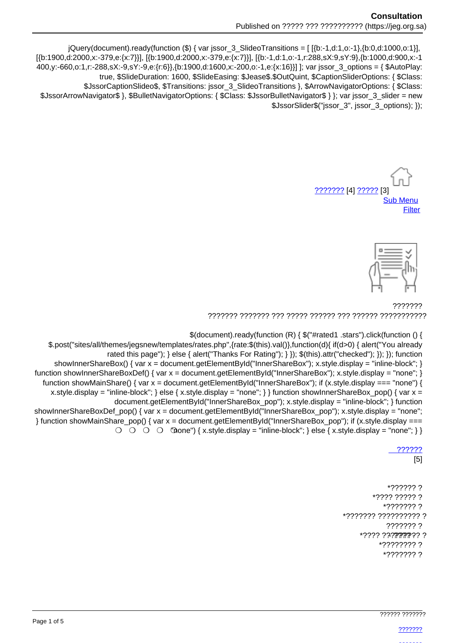jQuery(document).ready(function (\$) { var jssor\_3\_SlideoTransitions = [[{b:-1,d:1,o:-1},{b:0,d:1000,o:1}], [{b:1900.d:2000.x:-379.e:{x:7}}], [{b:1900.d:2000.x:-379.e:{x:7}}], [{b:-1.d:1.o:-1.r:288.sX:9.sY:9}, {b:1000.d:900.x:-1 400,y:-660,o:1,r:-288,sX:-9,sY:-9,e:{r:6}},{b:1900,d:1600,x:-200,o:-1,e:{x:16}}] ]; var jssor\_3\_options = { \$AutoPlay: true, \$SlideDuration: 1600, \$SlideEasing: \$Jease\$.\$OutQuint, \$CaptionSliderOptions: { \$Class: \$JssorCaptionSlideo\$, \$Transitions: jssor\_3\_SlideoTransitions }, \$ArrowNavigatorOptions: { \$Class: \$JssorArrowNavigator\$ }, \$BulletNavigatorOptions: { \$Class: \$JssorBulletNavigator\$ } }; var jssor\_3\_slider = new \$JssorSlider\$("jssor 3", jssor 3 options); });





7777777 

\$(document).ready(function (R) { \$("#rated1 .stars").click(function () {

\$.post("sites/all/themes/jegsnew/templates/rates.php",{rate:\$(this).val()},function(d){ if(d>0) { alert("You already rated this page"); } else { alert("Thanks For Rating"); } }); \$(this).attr("checked"); }); }); function showInnerShareBox() { var  $x =$  document.getElementById("InnerShareBox"); x.style.display = "inline-block"; } function showInnerShareBoxDef() { var x = document.getElementById("InnerShareBox"); x.style.display = "none"; } function showMainShare() { var  $x =$  document.getElementById("InnerShareBox"); if (x.style.display === "none") { x.style.display = "inline-block"; } else { x.style.display = "none"; } } function show Inner ShareBox pop() { var  $x =$ document.getElementById("InnerShareBox pop"); x.style.display = "inline-block"; } function showInnerShareBoxDef\_pop() { var x = document.getElementById("InnerShareBox\_pop"); x.style.display = "none"; } function showMainShare\_pop() { var x = document.getElementById("InnerShareBox\_pop"); if (x.style.display ===  $\bigcirc$   $\bigcirc$   $\bigcirc$   $\bigcirc$   $\bigcirc$   $\bigcirc$   $\bigcirc$   $\bigcirc$   $\bigcirc$   $\bigcirc$   $\bigcirc$   $\bigcirc$   $\bigcirc$   $\bigcirc$   $\bigcirc$   $\bigcirc$   $\bigcirc$   $\bigcirc$   $\bigcirc$   $\bigcirc$   $\bigcirc$   $\bigcirc$   $\bigcirc$   $\bigcirc$   $\bigcirc$   $\bigcirc$   $\bigcirc$   $\bigcirc$   $\bigcirc$   $\bigcirc$   $\bigcirc$   $\bigcirc$   $\bigcirc$   $\bigcirc$   $\bigcirc$   $\bigcirc$   $\bigcirc$ 

## 777777

 $[5]$ 

\*???????? \*???? ????? ?  $*2222222$ \*??????? ?????????? ? ??????? ? ? ????????????\* \*???????? ?  $*77777777$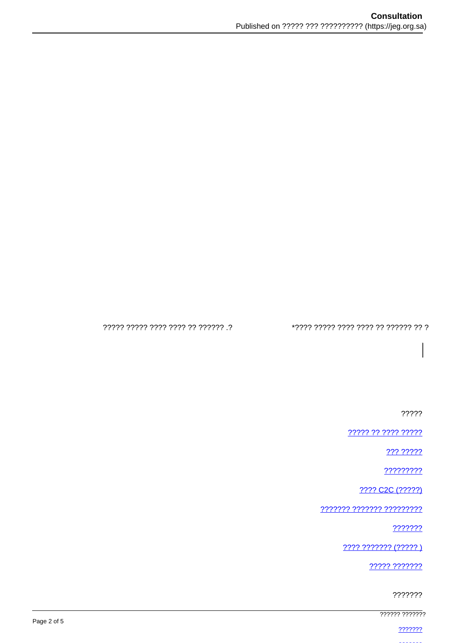\*???? ????? ???? ???? ?? ?????? ?? ?

## ????? ????? ???? ???? ?? ?????? .?

?????

 $\overline{\phantom{a}}$ 

????? ?? ???? ?????

222 22222

?????????

???? C2C (?????)

777777 7777777 777777777

???????

???? ??????? (????? )

22222 2222222

???????

777777 777777

2222222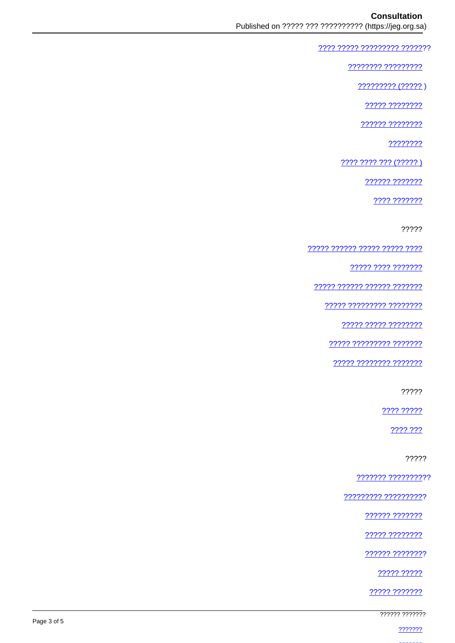<u> ???? ????? ????????? ???????</u>

22222222 222222222

????????? (????? )

????? ????????

222222 22222222

????????

???? ???? ??? (????? )

?????? ???????

???? ???????

?????

77777 777777 77777 77777 7777

????? ???? ???????

77777 777777 777777 7777777

????? ????????? ????????

22222 22222 22222222

77777 777777777 7777777

77777 77777777 7777777

?????

???? ?????

2222.222

?????

??????? ??????????

????????? ??????????

?????? ???????

22222 22222222

?????? ????????

????? ?????

????? ???????

777777 7777777

2222222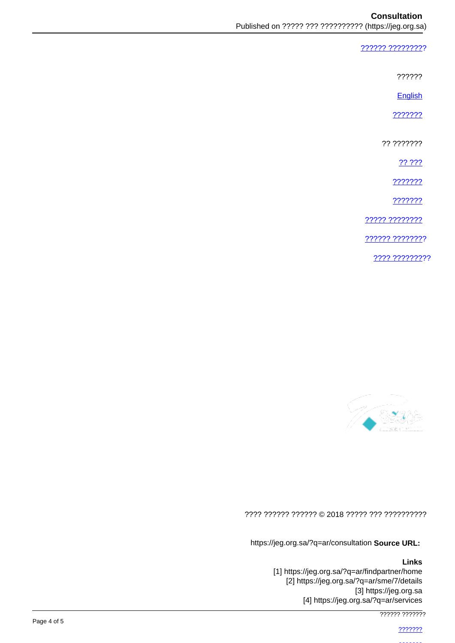## [????????? ??????](/consultation#)

??????

**[English](https://jeg.org.sa/)** 

[???????](https://jeg.org.sa/?q=ar)

??????? ??

**?????** 

[???????](https://jeg.org.sa/?q=ar/void%280%29)

[???????](https://jeg.org.sa/?q=ar/void%280%29)

[???????? ?????](https://jeg.org.sa/?q=ar/page/4)

[???????? ??????](https://jeg.org.sa/?q=ar/page/3)

?[???????? ????](https://jeg.org.sa/?q=ar/void%280%29)



?????????? ??? ????? 2018 © ?????? ?????? ????

https://jeg.org.sa/?q=ar/consultation **Source URL:** 

## **Links**

[1] https://jeg.org.sa/?q=ar/findpartner/home [2] https://jeg.org.sa/?q=ar/sme/7/details [3] https://jeg.org.sa [4] https://jeg.org.sa/?q=ar/services

??????? ??????